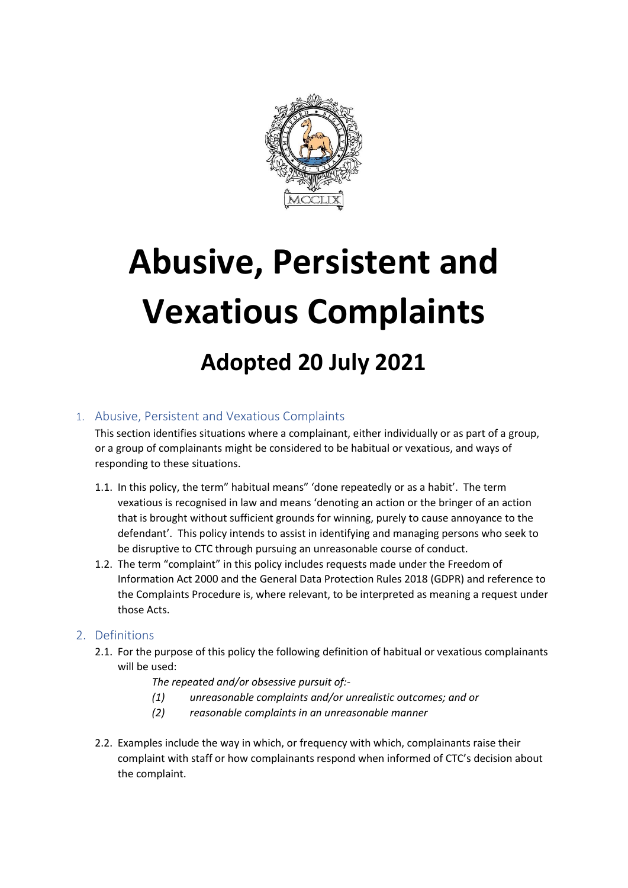

# **Abusive, Persistent and Vexatious Complaints**

# **Adopted 20 July 2021**

### 1. Abusive, Persistent and Vexatious Complaints

This section identifies situations where a complainant, either individually or as part of a group, or a group of complainants might be considered to be habitual or vexatious, and ways of responding to these situations.

- 1.1. In this policy, the term" habitual means" 'done repeatedly or as a habit'. The term vexatious is recognised in law and means 'denoting an action or the bringer of an action that is brought without sufficient grounds for winning, purely to cause annoyance to the defendant'. This policy intends to assist in identifying and managing persons who seek to be disruptive to CTC through pursuing an unreasonable course of conduct.
- 1.2. The term "complaint" in this policy includes requests made under the Freedom of Information Act 2000 and the General Data Protection Rules 2018 (GDPR) and reference to the Complaints Procedure is, where relevant, to be interpreted as meaning a request under those Acts.

#### 2. Definitions

- 2.1. For the purpose of this policy the following definition of habitual or vexatious complainants will be used:
	- *The repeated and/or obsessive pursuit of:-*
	- *(1) unreasonable complaints and/or unrealistic outcomes; and or*
	- *(2) reasonable complaints in an unreasonable manner*
- 2.2. Examples include the way in which, or frequency with which, complainants raise their complaint with staff or how complainants respond when informed of CTC's decision about the complaint.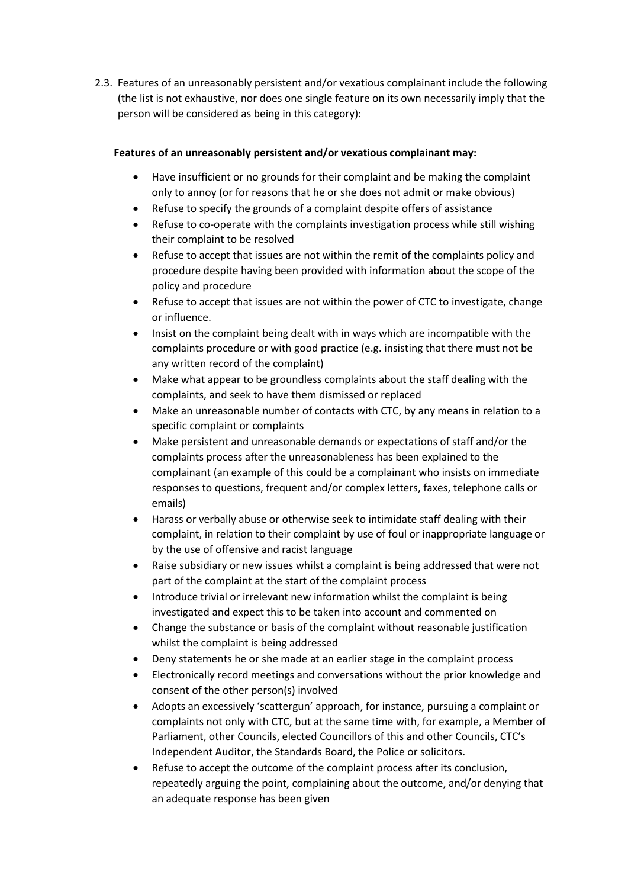2.3. Features of an unreasonably persistent and/or vexatious complainant include the following (the list is not exhaustive, nor does one single feature on its own necessarily imply that the person will be considered as being in this category):

#### **Features of an unreasonably persistent and/or vexatious complainant may:**

- Have insufficient or no grounds for their complaint and be making the complaint only to annoy (or for reasons that he or she does not admit or make obvious)
- Refuse to specify the grounds of a complaint despite offers of assistance
- Refuse to co-operate with the complaints investigation process while still wishing their complaint to be resolved
- Refuse to accept that issues are not within the remit of the complaints policy and procedure despite having been provided with information about the scope of the policy and procedure
- Refuse to accept that issues are not within the power of CTC to investigate, change or influence.
- Insist on the complaint being dealt with in ways which are incompatible with the complaints procedure or with good practice (e.g. insisting that there must not be any written record of the complaint)
- Make what appear to be groundless complaints about the staff dealing with the complaints, and seek to have them dismissed or replaced
- Make an unreasonable number of contacts with CTC, by any means in relation to a specific complaint or complaints
- Make persistent and unreasonable demands or expectations of staff and/or the complaints process after the unreasonableness has been explained to the complainant (an example of this could be a complainant who insists on immediate responses to questions, frequent and/or complex letters, faxes, telephone calls or emails)
- Harass or verbally abuse or otherwise seek to intimidate staff dealing with their complaint, in relation to their complaint by use of foul or inappropriate language or by the use of offensive and racist language
- Raise subsidiary or new issues whilst a complaint is being addressed that were not part of the complaint at the start of the complaint process
- Introduce trivial or irrelevant new information whilst the complaint is being investigated and expect this to be taken into account and commented on
- Change the substance or basis of the complaint without reasonable justification whilst the complaint is being addressed
- Deny statements he or she made at an earlier stage in the complaint process
- Electronically record meetings and conversations without the prior knowledge and consent of the other person(s) involved
- Adopts an excessively 'scattergun' approach, for instance, pursuing a complaint or complaints not only with CTC, but at the same time with, for example, a Member of Parliament, other Councils, elected Councillors of this and other Councils, CTC's Independent Auditor, the Standards Board, the Police or solicitors.
- Refuse to accept the outcome of the complaint process after its conclusion, repeatedly arguing the point, complaining about the outcome, and/or denying that an adequate response has been given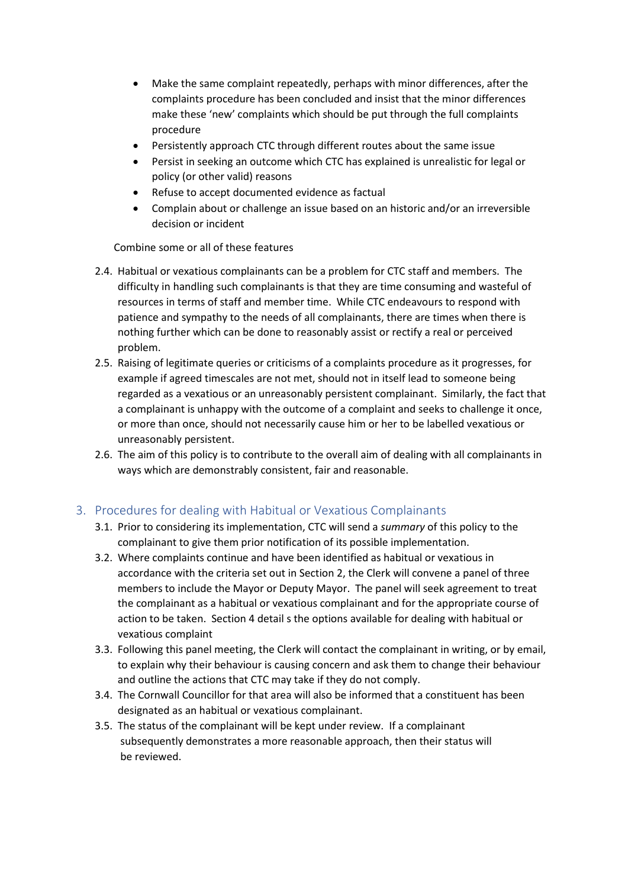- Make the same complaint repeatedly, perhaps with minor differences, after the complaints procedure has been concluded and insist that the minor differences make these 'new' complaints which should be put through the full complaints procedure
- Persistently approach CTC through different routes about the same issue
- Persist in seeking an outcome which CTC has explained is unrealistic for legal or policy (or other valid) reasons
- Refuse to accept documented evidence as factual
- Complain about or challenge an issue based on an historic and/or an irreversible decision or incident

Combine some or all of these features

- 2.4. Habitual or vexatious complainants can be a problem for CTC staff and members. The difficulty in handling such complainants is that they are time consuming and wasteful of resources in terms of staff and member time. While CTC endeavours to respond with patience and sympathy to the needs of all complainants, there are times when there is nothing further which can be done to reasonably assist or rectify a real or perceived problem.
- 2.5. Raising of legitimate queries or criticisms of a complaints procedure as it progresses, for example if agreed timescales are not met, should not in itself lead to someone being regarded as a vexatious or an unreasonably persistent complainant. Similarly, the fact that a complainant is unhappy with the outcome of a complaint and seeks to challenge it once, or more than once, should not necessarily cause him or her to be labelled vexatious or unreasonably persistent.
- 2.6. The aim of this policy is to contribute to the overall aim of dealing with all complainants in ways which are demonstrably consistent, fair and reasonable.

#### 3. Procedures for dealing with Habitual or Vexatious Complainants

- 3.1. Prior to considering its implementation, CTC will send a *summary* of this policy to the complainant to give them prior notification of its possible implementation.
- 3.2. Where complaints continue and have been identified as habitual or vexatious in accordance with the criteria set out in Section 2, the Clerk will convene a panel of three members to include the Mayor or Deputy Mayor. The panel will seek agreement to treat the complainant as a habitual or vexatious complainant and for the appropriate course of action to be taken. Section 4 detail s the options available for dealing with habitual or vexatious complaint
- 3.3. Following this panel meeting, the Clerk will contact the complainant in writing, or by email, to explain why their behaviour is causing concern and ask them to change their behaviour and outline the actions that CTC may take if they do not comply.
- 3.4. The Cornwall Councillor for that area will also be informed that a constituent has been designated as an habitual or vexatious complainant.
- 3.5. The status of the complainant will be kept under review. If a complainant subsequently demonstrates a more reasonable approach, then their status will be reviewed.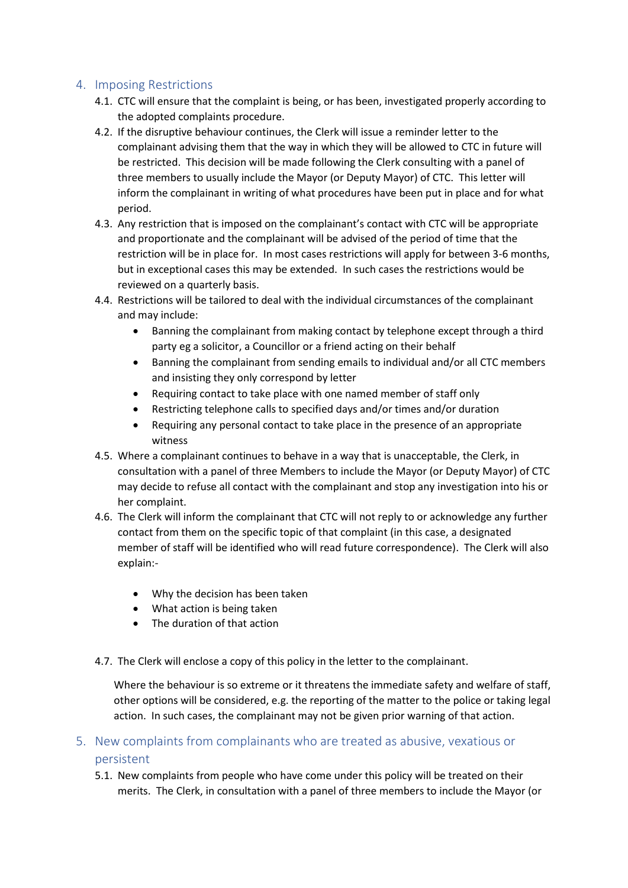#### 4. Imposing Restrictions

- 4.1. CTC will ensure that the complaint is being, or has been, investigated properly according to the adopted complaints procedure.
- 4.2. If the disruptive behaviour continues, the Clerk will issue a reminder letter to the complainant advising them that the way in which they will be allowed to CTC in future will be restricted. This decision will be made following the Clerk consulting with a panel of three members to usually include the Mayor (or Deputy Mayor) of CTC. This letter will inform the complainant in writing of what procedures have been put in place and for what period.
- 4.3. Any restriction that is imposed on the complainant's contact with CTC will be appropriate and proportionate and the complainant will be advised of the period of time that the restriction will be in place for. In most cases restrictions will apply for between 3-6 months, but in exceptional cases this may be extended. In such cases the restrictions would be reviewed on a quarterly basis.
- 4.4. Restrictions will be tailored to deal with the individual circumstances of the complainant and may include:
	- Banning the complainant from making contact by telephone except through a third party eg a solicitor, a Councillor or a friend acting on their behalf
	- Banning the complainant from sending emails to individual and/or all CTC members and insisting they only correspond by letter
	- Requiring contact to take place with one named member of staff only
	- Restricting telephone calls to specified days and/or times and/or duration
	- Requiring any personal contact to take place in the presence of an appropriate witness
- 4.5. Where a complainant continues to behave in a way that is unacceptable, the Clerk, in consultation with a panel of three Members to include the Mayor (or Deputy Mayor) of CTC may decide to refuse all contact with the complainant and stop any investigation into his or her complaint.
- 4.6. The Clerk will inform the complainant that CTC will not reply to or acknowledge any further contact from them on the specific topic of that complaint (in this case, a designated member of staff will be identified who will read future correspondence). The Clerk will also explain:-
	- Why the decision has been taken
	- What action is being taken
	- The duration of that action
- 4.7. The Clerk will enclose a copy of this policy in the letter to the complainant.

Where the behaviour is so extreme or it threatens the immediate safety and welfare of staff, other options will be considered, e.g. the reporting of the matter to the police or taking legal action. In such cases, the complainant may not be given prior warning of that action.

## 5. New complaints from complainants who are treated as abusive, vexatious or persistent

5.1. New complaints from people who have come under this policy will be treated on their merits. The Clerk, in consultation with a panel of three members to include the Mayor (or